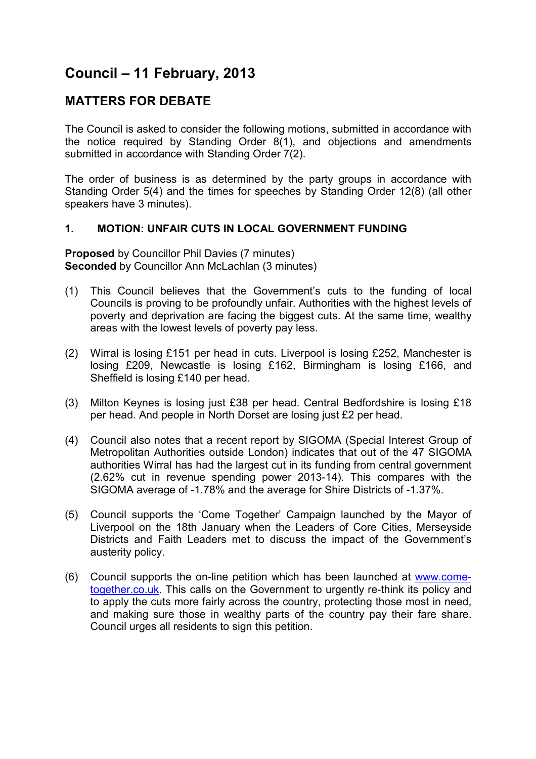# **Council – 11 February, 2013**

## **MATTERS FOR DEBATE**

The Council is asked to consider the following motions, submitted in accordance with the notice required by Standing Order 8(1), and objections and amendments submitted in accordance with Standing Order 7(2).

The order of business is as determined by the party groups in accordance with Standing Order 5(4) and the times for speeches by Standing Order 12(8) (all other speakers have 3 minutes).

## **1. MOTION: UNFAIR CUTS IN LOCAL GOVERNMENT FUNDING**

**Proposed** by Councillor Phil Davies (7 minutes) **Seconded** by Councillor Ann McLachlan (3 minutes)

- (1) This Council believes that the Government's cuts to the funding of local Councils is proving to be profoundly unfair. Authorities with the highest levels of poverty and deprivation are facing the biggest cuts. At the same time, wealthy areas with the lowest levels of poverty pay less.
- (2) Wirral is losing £151 per head in cuts. Liverpool is losing £252, Manchester is losing £209, Newcastle is losing £162, Birmingham is losing £166, and Sheffield is losing £140 per head.
- (3) Milton Keynes is losing just £38 per head. Central Bedfordshire is losing £18 per head. And people in North Dorset are losing just £2 per head.
- (4) Council also notes that a recent report by SIGOMA (Special Interest Group of Metropolitan Authorities outside London) indicates that out of the 47 SIGOMA authorities Wirral has had the largest cut in its funding from central government (2.62% cut in revenue spending power 2013-14). This compares with the SIGOMA average of -1.78% and the average for Shire Districts of -1.37%.
- (5) Council supports the 'Come Together' Campaign launched by the Mayor of Liverpool on the 18th January when the Leaders of Core Cities, Merseyside Districts and Faith Leaders met to discuss the impact of the Government's austerity policy.
- (6) Council supports the on-line petition which has been launched at www.cometogether.co.uk. This calls on the Government to urgently re-think its policy and to apply the cuts more fairly across the country, protecting those most in need, and making sure those in wealthy parts of the country pay their fare share. Council urges all residents to sign this petition.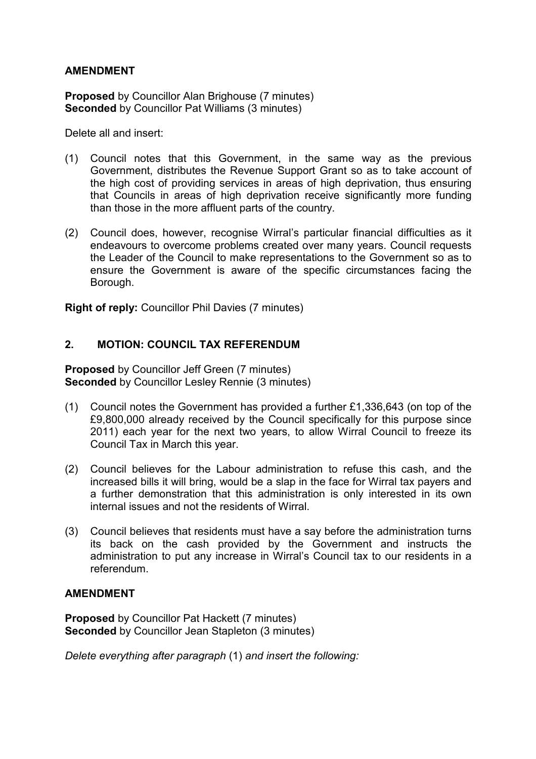**Proposed** by Councillor Alan Brighouse (7 minutes) **Seconded** by Councillor Pat Williams (3 minutes)

Delete all and insert:

- (1) Council notes that this Government, in the same way as the previous Government, distributes the Revenue Support Grant so as to take account of the high cost of providing services in areas of high deprivation, thus ensuring that Councils in areas of high deprivation receive significantly more funding than those in the more affluent parts of the country.
- (2) Council does, however, recognise Wirral's particular financial difficulties as it endeavours to overcome problems created over many years. Council requests the Leader of the Council to make representations to the Government so as to ensure the Government is aware of the specific circumstances facing the Borough.

**Right of reply:** Councillor Phil Davies (7 minutes)

## **2. MOTION: COUNCIL TAX REFERENDUM**

**Proposed** by Councillor Jeff Green (7 minutes) **Seconded** by Councillor Lesley Rennie (3 minutes)

- (1) Council notes the Government has provided a further £1,336,643 (on top of the £9,800,000 already received by the Council specifically for this purpose since 2011) each year for the next two years, to allow Wirral Council to freeze its Council Tax in March this year.
- (2) Council believes for the Labour administration to refuse this cash, and the increased bills it will bring, would be a slap in the face for Wirral tax payers and a further demonstration that this administration is only interested in its own internal issues and not the residents of Wirral.
- (3) Council believes that residents must have a say before the administration turns its back on the cash provided by the Government and instructs the administration to put any increase in Wirral's Council tax to our residents in a referendum.

## **AMENDMENT**

**Proposed** by Councillor Pat Hackett (7 minutes) **Seconded** by Councillor Jean Stapleton (3 minutes)

*Delete everything after paragraph* (1) *and insert the following:*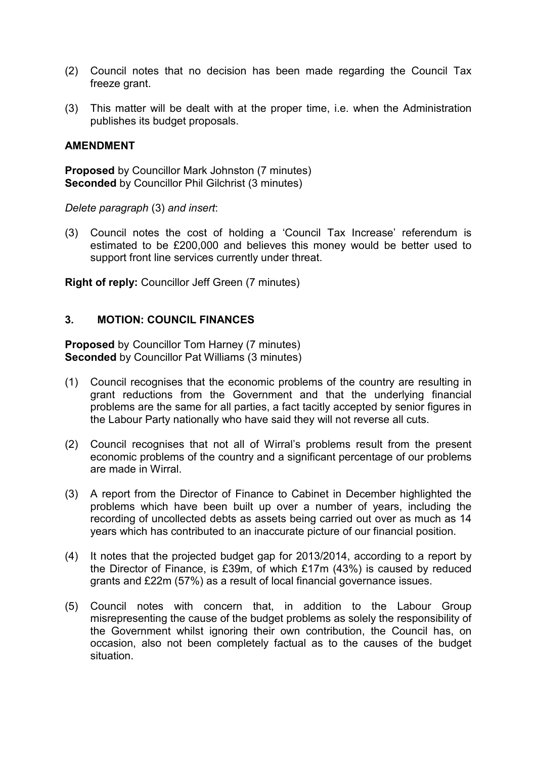- (2) Council notes that no decision has been made regarding the Council Tax freeze grant.
- (3) This matter will be dealt with at the proper time, i.e. when the Administration publishes its budget proposals.

**Proposed** by Councillor Mark Johnston (7 minutes) **Seconded** by Councillor Phil Gilchrist (3 minutes)

*Delete paragraph* (3) *and insert*:

(3) Council notes the cost of holding a 'Council Tax Increase' referendum is estimated to be £200,000 and believes this money would be better used to support front line services currently under threat.

**Right of reply:** Councillor Jeff Green (7 minutes)

## **3. MOTION: COUNCIL FINANCES**

**Proposed** by Councillor Tom Harney (7 minutes) **Seconded** by Councillor Pat Williams (3 minutes)

- (1) Council recognises that the economic problems of the country are resulting in grant reductions from the Government and that the underlying financial problems are the same for all parties, a fact tacitly accepted by senior figures in the Labour Party nationally who have said they will not reverse all cuts.
- (2) Council recognises that not all of Wirral's problems result from the present economic problems of the country and a significant percentage of our problems are made in Wirral.
- (3) A report from the Director of Finance to Cabinet in December highlighted the problems which have been built up over a number of years, including the recording of uncollected debts as assets being carried out over as much as 14 years which has contributed to an inaccurate picture of our financial position.
- (4) It notes that the projected budget gap for 2013/2014, according to a report by the Director of Finance, is £39m, of which £17m (43%) is caused by reduced grants and £22m (57%) as a result of local financial governance issues.
- (5) Council notes with concern that, in addition to the Labour Group misrepresenting the cause of the budget problems as solely the responsibility of the Government whilst ignoring their own contribution, the Council has, on occasion, also not been completely factual as to the causes of the budget situation.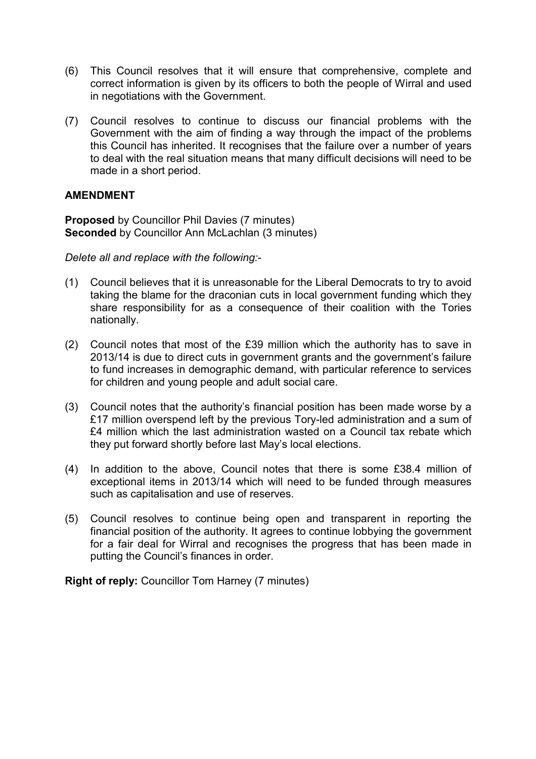- (6) This Council resolves that it will ensure that comprehensive, complete and correct information is given by its officers to both the people of Wirral and used in negotiations with the Government.
- (7) Council resolves to continue to discuss our financial problems with the Government with the aim of finding a way through the impact of the problems this Council has inherited. It recognises that the failure over a number of years to deal with the real situation means that many difficult decisions will need to be made in a short period.

**Proposed** by Councillor Phil Davies (7 minutes) **Seconded** by Councillor Ann McLachlan (3 minutes)

*Delete all and replace with the following:*-

- (1) Council believes that it is unreasonable for the Liberal Democrats to try to avoid taking the blame for the draconian cuts in local government funding which they share responsibility for as a consequence of their coalition with the Tories nationally.
- (2) Council notes that most of the £39 million which the authority has to save in 2013/14 is due to direct cuts in government grants and the government's failure to fund increases in demographic demand, with particular reference to services for children and young people and adult social care.
- (3) Council notes that the authority's financial position has been made worse by a £17 million overspend left by the previous Tory-led administration and a sum of £4 million which the last administration wasted on a Council tax rebate which they put forward shortly before last May's local elections.
- (4) In addition to the above, Council notes that there is some £38.4 million of exceptional items in 2013/14 which will need to be funded through measures such as capitalisation and use of reserves.
- (5) Council resolves to continue being open and transparent in reporting the financial position of the authority. It agrees to continue lobbying the government for a fair deal for Wirral and recognises the progress that has been made in putting the Council's finances in order.

**Right of reply:** Councillor Tom Harney (7 minutes)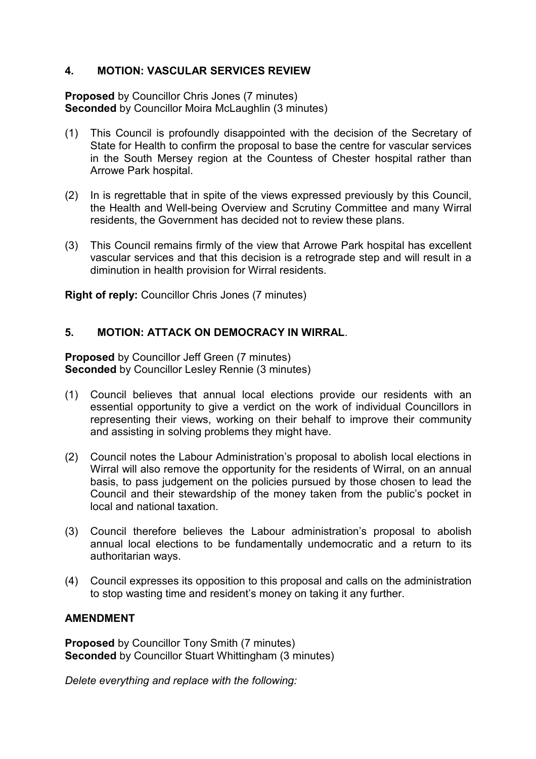## **4. MOTION: VASCULAR SERVICES REVIEW**

**Proposed** by Councillor Chris Jones (7 minutes) **Seconded** by Councillor Moira McLaughlin (3 minutes)

- (1) This Council is profoundly disappointed with the decision of the Secretary of State for Health to confirm the proposal to base the centre for vascular services in the South Mersey region at the Countess of Chester hospital rather than Arrowe Park hospital.
- (2) In is regrettable that in spite of the views expressed previously by this Council, the Health and Well-being Overview and Scrutiny Committee and many Wirral residents, the Government has decided not to review these plans.
- (3) This Council remains firmly of the view that Arrowe Park hospital has excellent vascular services and that this decision is a retrograde step and will result in a diminution in health provision for Wirral residents.

**Right of reply:** Councillor Chris Jones (7 minutes)

## **5. MOTION: ATTACK ON DEMOCRACY IN WIRRAL**.

**Proposed** by Councillor Jeff Green (7 minutes) **Seconded** by Councillor Lesley Rennie (3 minutes)

- (1) Council believes that annual local elections provide our residents with an essential opportunity to give a verdict on the work of individual Councillors in representing their views, working on their behalf to improve their community and assisting in solving problems they might have.
- (2) Council notes the Labour Administration's proposal to abolish local elections in Wirral will also remove the opportunity for the residents of Wirral, on an annual basis, to pass judgement on the policies pursued by those chosen to lead the Council and their stewardship of the money taken from the public's pocket in local and national taxation.
- (3) Council therefore believes the Labour administration's proposal to abolish annual local elections to be fundamentally undemocratic and a return to its authoritarian ways.
- (4) Council expresses its opposition to this proposal and calls on the administration to stop wasting time and resident's money on taking it any further.

## **AMENDMENT**

**Proposed** by Councillor Tony Smith (7 minutes) **Seconded** by Councillor Stuart Whittingham (3 minutes)

*Delete everything and replace with the following:*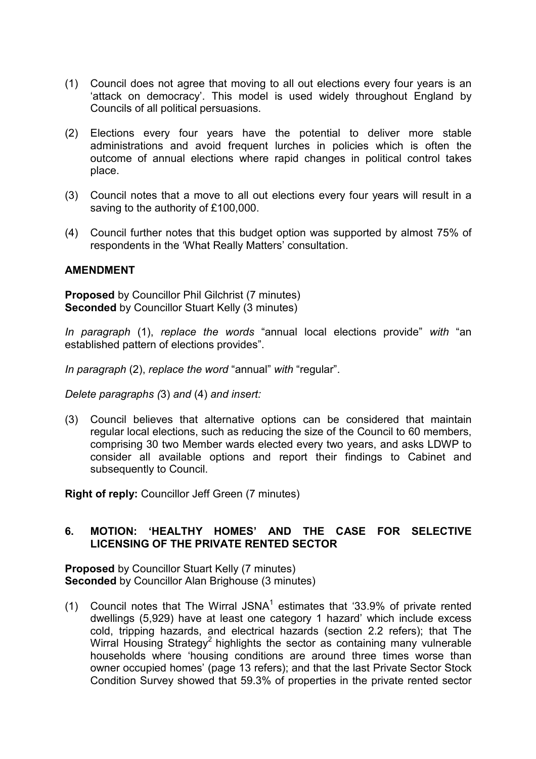- (1) Council does not agree that moving to all out elections every four years is an 'attack on democracy'. This model is used widely throughout England by Councils of all political persuasions.
- (2) Elections every four years have the potential to deliver more stable administrations and avoid frequent lurches in policies which is often the outcome of annual elections where rapid changes in political control takes place.
- (3) Council notes that a move to all out elections every four years will result in a saving to the authority of £100,000.
- (4) Council further notes that this budget option was supported by almost 75% of respondents in the 'What Really Matters' consultation.

**Proposed** by Councillor Phil Gilchrist (7 minutes) **Seconded** by Councillor Stuart Kelly (3 minutes)

*In paragraph* (1), *replace the words* "annual local elections provide" *with* "an established pattern of elections provides".

*In paragraph* (2), *replace the word* "annual" *with* "regular".

*Delete paragraphs (*3) *and* (4) *and insert:*

(3) Council believes that alternative options can be considered that maintain regular local elections, such as reducing the size of the Council to 60 members, comprising 30 two Member wards elected every two years, and asks LDWP to consider all available options and report their findings to Cabinet and subsequently to Council.

**Right of reply:** Councillor Jeff Green (7 minutes)

## **6. MOTION: 'HEALTHY HOMES' AND THE CASE FOR SELECTIVE LICENSING OF THE PRIVATE RENTED SECTOR**

**Proposed** by Councillor Stuart Kelly (7 minutes) **Seconded** by Councillor Alan Brighouse (3 minutes)

(1) Council notes that The Wirral JSNA<sup>1</sup> estimates that '33.9% of private rented dwellings (5,929) have at least one category 1 hazard' which include excess cold, tripping hazards, and electrical hazards (section 2.2 refers); that The Wirral Housing Strategy<sup>2</sup> highlights the sector as containing many vulnerable households where 'housing conditions are around three times worse than owner occupied homes' (page 13 refers); and that the last Private Sector Stock Condition Survey showed that 59.3% of properties in the private rented sector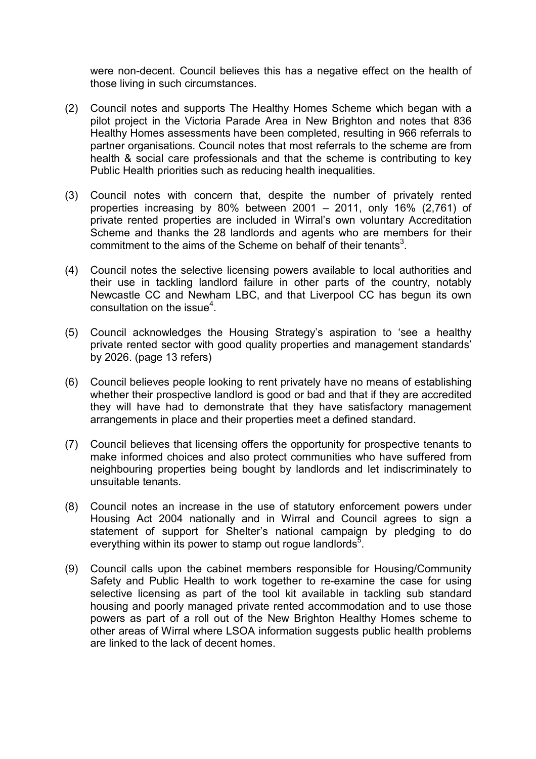were non-decent. Council believes this has a negative effect on the health of those living in such circumstances.

- (2) Council notes and supports The Healthy Homes Scheme which began with a pilot project in the Victoria Parade Area in New Brighton and notes that 836 Healthy Homes assessments have been completed, resulting in 966 referrals to partner organisations. Council notes that most referrals to the scheme are from health & social care professionals and that the scheme is contributing to key Public Health priorities such as reducing health inequalities.
- (3) Council notes with concern that, despite the number of privately rented properties increasing by 80% between 2001 – 2011, only 16% (2,761) of private rented properties are included in Wirral's own voluntary Accreditation Scheme and thanks the 28 landlords and agents who are members for their commitment to the aims of the Scheme on behalf of their tenants<sup>3</sup>.
- (4) Council notes the selective licensing powers available to local authorities and their use in tackling landlord failure in other parts of the country, notably Newcastle CC and Newham LBC, and that Liverpool CC has begun its own consultation on the issue $4$ .
- (5) Council acknowledges the Housing Strategy's aspiration to 'see a healthy private rented sector with good quality properties and management standards' by 2026. (page 13 refers)
- (6) Council believes people looking to rent privately have no means of establishing whether their prospective landlord is good or bad and that if they are accredited they will have had to demonstrate that they have satisfactory management arrangements in place and their properties meet a defined standard.
- (7) Council believes that licensing offers the opportunity for prospective tenants to make informed choices and also protect communities who have suffered from neighbouring properties being bought by landlords and let indiscriminately to unsuitable tenants.
- (8) Council notes an increase in the use of statutory enforcement powers under Housing Act 2004 nationally and in Wirral and Council agrees to sign a statement of support for Shelter's national campaign by pledging to do everything within its power to stamp out rogue landlords<sup>5</sup>.
- (9) Council calls upon the cabinet members responsible for Housing/Community Safety and Public Health to work together to re-examine the case for using selective licensing as part of the tool kit available in tackling sub standard housing and poorly managed private rented accommodation and to use those powers as part of a roll out of the New Brighton Healthy Homes scheme to other areas of Wirral where LSOA information suggests public health problems are linked to the lack of decent homes.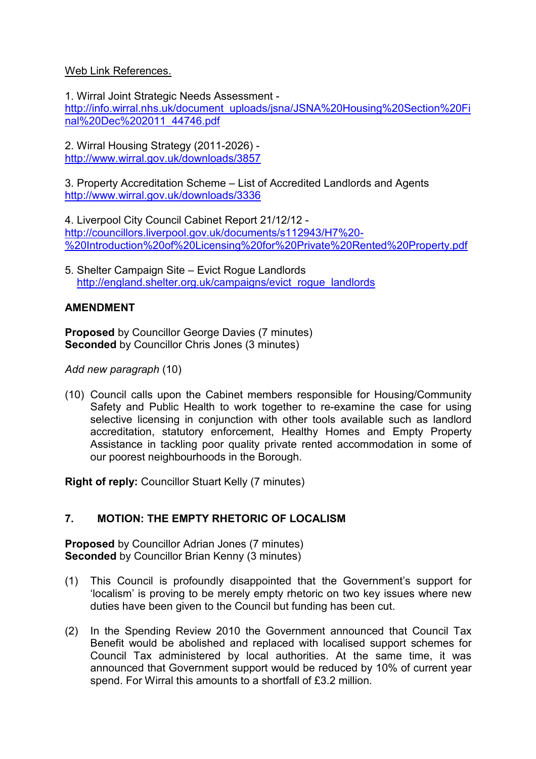## Web Link References.

1. Wirral Joint Strategic Needs Assessment http://info.wirral.nhs.uk/document\_uploads/jsna/JSNA%20Housing%20Section%20Fi nal%20Dec%202011\_44746.pdf

2. Wirral Housing Strategy (2011-2026) http://www.wirral.gov.uk/downloads/3857

3. Property Accreditation Scheme – List of Accredited Landlords and Agents http://www.wirral.gov.uk/downloads/3336

4. Liverpool City Council Cabinet Report 21/12/12 http://councillors.liverpool.gov.uk/documents/s112943/H7%20- %20Introduction%20of%20Licensing%20for%20Private%20Rented%20Property.pdf

5. Shelter Campaign Site – Evict Rogue Landlords http://england.shelter.org.uk/campaigns/evict\_roque\_landlords

## **AMENDMENT**

**Proposed** by Councillor George Davies (7 minutes) **Seconded** by Councillor Chris Jones (3 minutes)

*Add new paragraph* (10)

(10) Council calls upon the Cabinet members responsible for Housing/Community Safety and Public Health to work together to re-examine the case for using selective licensing in conjunction with other tools available such as landlord accreditation, statutory enforcement, Healthy Homes and Empty Property Assistance in tackling poor quality private rented accommodation in some of our poorest neighbourhoods in the Borough.

**Right of reply:** Councillor Stuart Kelly (7 minutes)

## **7. MOTION: THE EMPTY RHETORIC OF LOCALISM**

**Proposed** by Councillor Adrian Jones (7 minutes) **Seconded** by Councillor Brian Kenny (3 minutes)

- (1) This Council is profoundly disappointed that the Government's support for 'localism' is proving to be merely empty rhetoric on two key issues where new duties have been given to the Council but funding has been cut.
- (2) In the Spending Review 2010 the Government announced that Council Tax Benefit would be abolished and replaced with localised support schemes for Council Tax administered by local authorities. At the same time, it was announced that Government support would be reduced by 10% of current year spend. For Wirral this amounts to a shortfall of £3.2 million.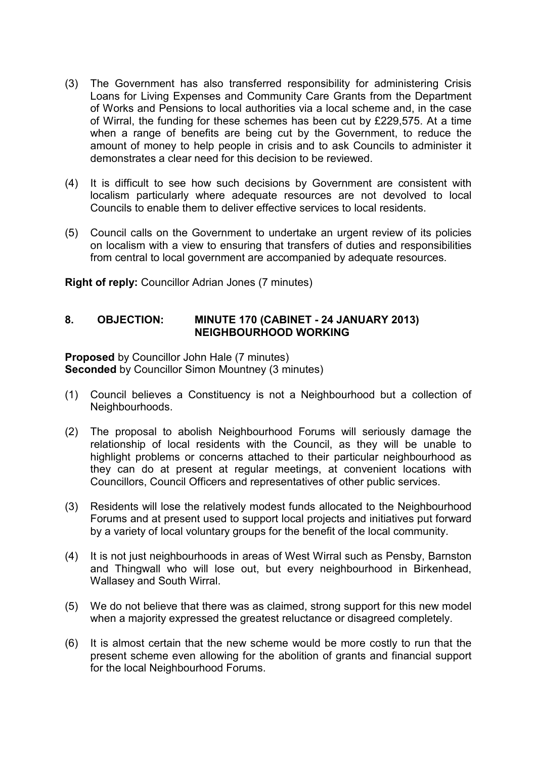- (3) The Government has also transferred responsibility for administering Crisis Loans for Living Expenses and Community Care Grants from the Department of Works and Pensions to local authorities via a local scheme and, in the case of Wirral, the funding for these schemes has been cut by £229,575. At a time when a range of benefits are being cut by the Government, to reduce the amount of money to help people in crisis and to ask Councils to administer it demonstrates a clear need for this decision to be reviewed.
- (4) It is difficult to see how such decisions by Government are consistent with localism particularly where adequate resources are not devolved to local Councils to enable them to deliver effective services to local residents.
- (5) Council calls on the Government to undertake an urgent review of its policies on localism with a view to ensuring that transfers of duties and responsibilities from central to local government are accompanied by adequate resources.

**Right of reply:** Councillor Adrian Jones (7 minutes)

## **8. OBJECTION: MINUTE 170 (CABINET - 24 JANUARY 2013) NEIGHBOURHOOD WORKING**

**Proposed** by Councillor John Hale (7 minutes) **Seconded** by Councillor Simon Mountney (3 minutes)

- (1) Council believes a Constituency is not a Neighbourhood but a collection of Neighbourhoods.
- (2) The proposal to abolish Neighbourhood Forums will seriously damage the relationship of local residents with the Council, as they will be unable to highlight problems or concerns attached to their particular neighbourhood as they can do at present at regular meetings, at convenient locations with Councillors, Council Officers and representatives of other public services.
- (3) Residents will lose the relatively modest funds allocated to the Neighbourhood Forums and at present used to support local projects and initiatives put forward by a variety of local voluntary groups for the benefit of the local community.
- (4) It is not just neighbourhoods in areas of West Wirral such as Pensby, Barnston and Thingwall who will lose out, but every neighbourhood in Birkenhead, Wallasey and South Wirral.
- (5) We do not believe that there was as claimed, strong support for this new model when a majority expressed the greatest reluctance or disagreed completely.
- (6) It is almost certain that the new scheme would be more costly to run that the present scheme even allowing for the abolition of grants and financial support for the local Neighbourhood Forums.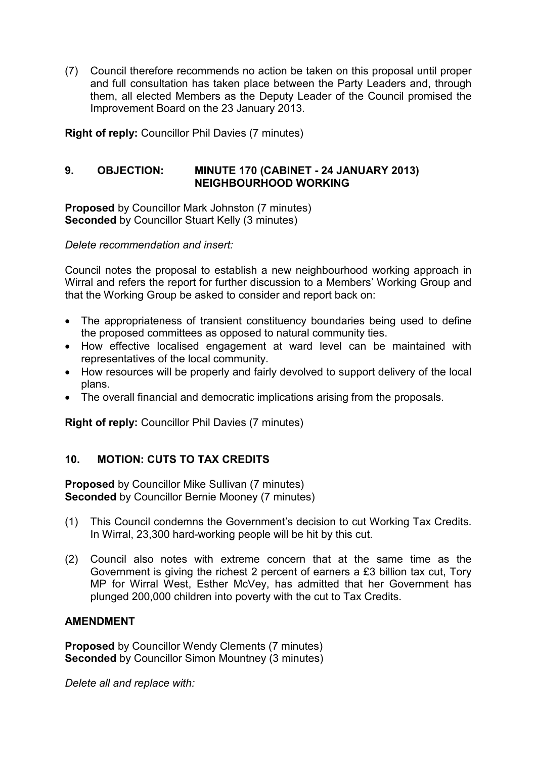(7) Council therefore recommends no action be taken on this proposal until proper and full consultation has taken place between the Party Leaders and, through them, all elected Members as the Deputy Leader of the Council promised the Improvement Board on the 23 January 2013.

**Right of reply:** Councillor Phil Davies (7 minutes)

## **9. OBJECTION: MINUTE 170 (CABINET - 24 JANUARY 2013) NEIGHBOURHOOD WORKING**

**Proposed** by Councillor Mark Johnston (7 minutes) **Seconded** by Councillor Stuart Kelly (3 minutes)

*Delete recommendation and insert:* 

Council notes the proposal to establish a new neighbourhood working approach in Wirral and refers the report for further discussion to a Members' Working Group and that the Working Group be asked to consider and report back on:

- The appropriateness of transient constituency boundaries being used to define the proposed committees as opposed to natural community ties.
- How effective localised engagement at ward level can be maintained with representatives of the local community.
- How resources will be properly and fairly devolved to support delivery of the local plans.
- The overall financial and democratic implications arising from the proposals.

**Right of reply:** Councillor Phil Davies (7 minutes)

## **10. MOTION: CUTS TO TAX CREDITS**

**Proposed** by Councillor Mike Sullivan (7 minutes) **Seconded** by Councillor Bernie Mooney (7 minutes)

- (1) This Council condemns the Government's decision to cut Working Tax Credits. In Wirral, 23,300 hard-working people will be hit by this cut.
- (2) Council also notes with extreme concern that at the same time as the Government is giving the richest 2 percent of earners a £3 billion tax cut, Tory MP for Wirral West, Esther McVey, has admitted that her Government has plunged 200,000 children into poverty with the cut to Tax Credits.

## **AMENDMENT**

**Proposed** by Councillor Wendy Clements (7 minutes) **Seconded** by Councillor Simon Mountney (3 minutes)

*Delete all and replace with:*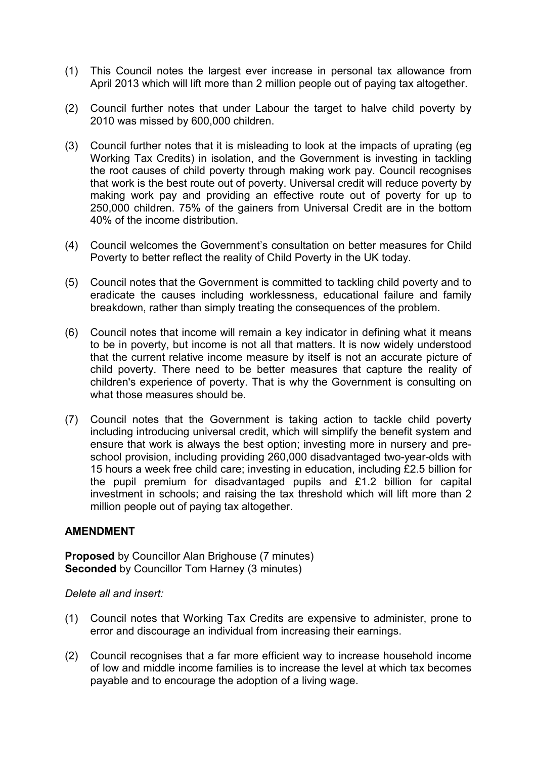- (1) This Council notes the largest ever increase in personal tax allowance from April 2013 which will lift more than 2 million people out of paying tax altogether.
- (2) Council further notes that under Labour the target to halve child poverty by 2010 was missed by 600,000 children.
- (3) Council further notes that it is misleading to look at the impacts of uprating (eg Working Tax Credits) in isolation, and the Government is investing in tackling the root causes of child poverty through making work pay. Council recognises that work is the best route out of poverty. Universal credit will reduce poverty by making work pay and providing an effective route out of poverty for up to 250,000 children. 75% of the gainers from Universal Credit are in the bottom 40% of the income distribution.
- (4) Council welcomes the Government's consultation on better measures for Child Poverty to better reflect the reality of Child Poverty in the UK today.
- (5) Council notes that the Government is committed to tackling child poverty and to eradicate the causes including worklessness, educational failure and family breakdown, rather than simply treating the consequences of the problem.
- (6) Council notes that income will remain a key indicator in defining what it means to be in poverty, but income is not all that matters. It is now widely understood that the current relative income measure by itself is not an accurate picture of child poverty. There need to be better measures that capture the reality of children's experience of poverty. That is why the Government is consulting on what those measures should be.
- (7) Council notes that the Government is taking action to tackle child poverty including introducing universal credit, which will simplify the benefit system and ensure that work is always the best option; investing more in nursery and preschool provision, including providing 260,000 disadvantaged two-year-olds with 15 hours a week free child care; investing in education, including £2.5 billion for the pupil premium for disadvantaged pupils and £1.2 billion for capital investment in schools; and raising the tax threshold which will lift more than 2 million people out of paying tax altogether.

**Proposed** by Councillor Alan Brighouse (7 minutes) **Seconded** by Councillor Tom Harney (3 minutes)

*Delete all and insert:* 

- (1) Council notes that Working Tax Credits are expensive to administer, prone to error and discourage an individual from increasing their earnings.
- (2) Council recognises that a far more efficient way to increase household income of low and middle income families is to increase the level at which tax becomes payable and to encourage the adoption of a living wage.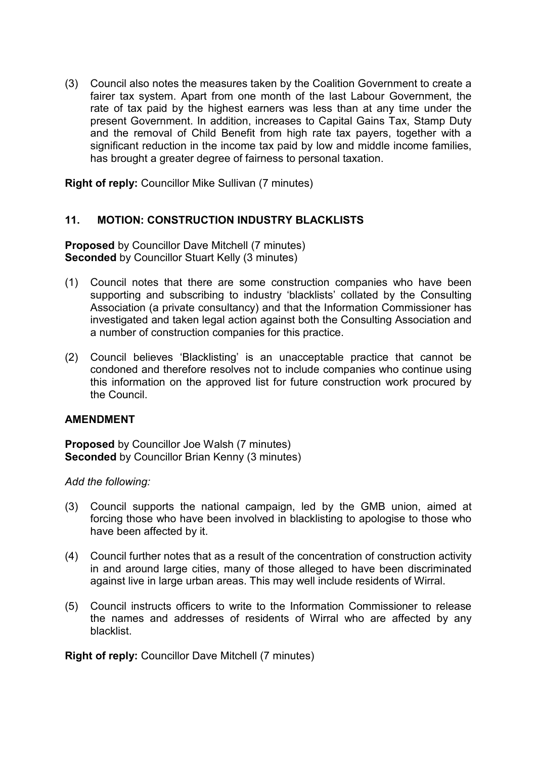(3) Council also notes the measures taken by the Coalition Government to create a fairer tax system. Apart from one month of the last Labour Government, the rate of tax paid by the highest earners was less than at any time under the present Government. In addition, increases to Capital Gains Tax, Stamp Duty and the removal of Child Benefit from high rate tax payers, together with a significant reduction in the income tax paid by low and middle income families, has brought a greater degree of fairness to personal taxation.

**Right of reply:** Councillor Mike Sullivan (7 minutes)

#### **11. MOTION: CONSTRUCTION INDUSTRY BLACKLISTS**

**Proposed** by Councillor Dave Mitchell (7 minutes) **Seconded** by Councillor Stuart Kelly (3 minutes)

- (1) Council notes that there are some construction companies who have been supporting and subscribing to industry 'blacklists' collated by the Consulting Association (a private consultancy) and that the Information Commissioner has investigated and taken legal action against both the Consulting Association and a number of construction companies for this practice.
- (2) Council believes 'Blacklisting' is an unacceptable practice that cannot be condoned and therefore resolves not to include companies who continue using this information on the approved list for future construction work procured by the Council.

#### **AMENDMENT**

**Proposed** by Councillor Joe Walsh (7 minutes) **Seconded** by Councillor Brian Kenny (3 minutes)

*Add the following:*

- (3) Council supports the national campaign, led by the GMB union, aimed at forcing those who have been involved in blacklisting to apologise to those who have been affected by it.
- (4) Council further notes that as a result of the concentration of construction activity in and around large cities, many of those alleged to have been discriminated against live in large urban areas. This may well include residents of Wirral.
- (5) Council instructs officers to write to the Information Commissioner to release the names and addresses of residents of Wirral who are affected by any blacklist.

**Right of reply:** Councillor Dave Mitchell (7 minutes)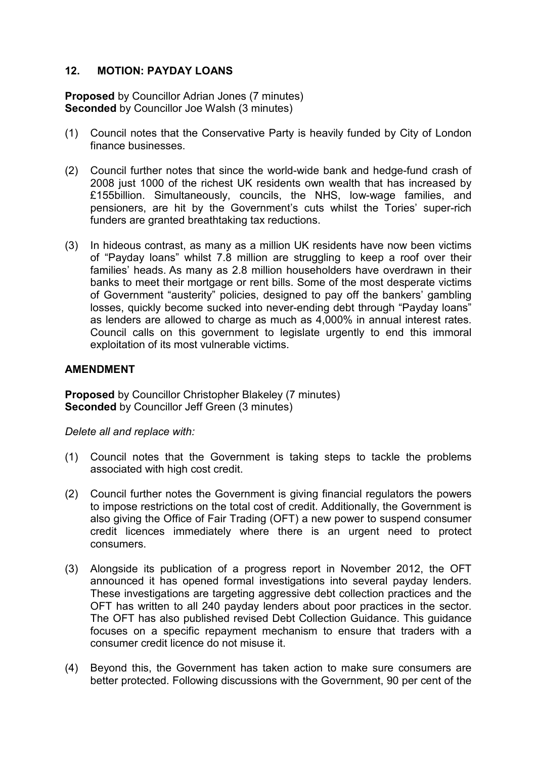## **12. MOTION: PAYDAY LOANS**

**Proposed** by Councillor Adrian Jones (7 minutes) **Seconded** by Councillor Joe Walsh (3 minutes)

- (1) Council notes that the Conservative Party is heavily funded by City of London finance businesses.
- (2) Council further notes that since the world-wide bank and hedge-fund crash of 2008 just 1000 of the richest UK residents own wealth that has increased by £155billion. Simultaneously, councils, the NHS, low-wage families, and pensioners, are hit by the Government's cuts whilst the Tories' super-rich funders are granted breathtaking tax reductions.
- (3) In hideous contrast, as many as a million UK residents have now been victims of "Payday loans" whilst 7.8 million are struggling to keep a roof over their families' heads. As many as 2.8 million householders have overdrawn in their banks to meet their mortgage or rent bills. Some of the most desperate victims of Government "austerity" policies, designed to pay off the bankers' gambling losses, quickly become sucked into never-ending debt through "Payday loans" as lenders are allowed to charge as much as 4,000% in annual interest rates. Council calls on this government to legislate urgently to end this immoral exploitation of its most vulnerable victims.

## **AMENDMENT**

**Proposed** by Councillor Christopher Blakeley (7 minutes) **Seconded** by Councillor Jeff Green (3 minutes)

*Delete all and replace with:* 

- (1) Council notes that the Government is taking steps to tackle the problems associated with high cost credit.
- (2) Council further notes the Government is giving financial regulators the powers to impose restrictions on the total cost of credit. Additionally, the Government is also giving the Office of Fair Trading (OFT) a new power to suspend consumer credit licences immediately where there is an urgent need to protect consumers.
- (3) Alongside its publication of a progress report in November 2012, the OFT announced it has opened formal investigations into several payday lenders. These investigations are targeting aggressive debt collection practices and the OFT has written to all 240 payday lenders about poor practices in the sector. The OFT has also published revised Debt Collection Guidance. This guidance focuses on a specific repayment mechanism to ensure that traders with a consumer credit licence do not misuse it.
- (4) Beyond this, the Government has taken action to make sure consumers are better protected. Following discussions with the Government, 90 per cent of the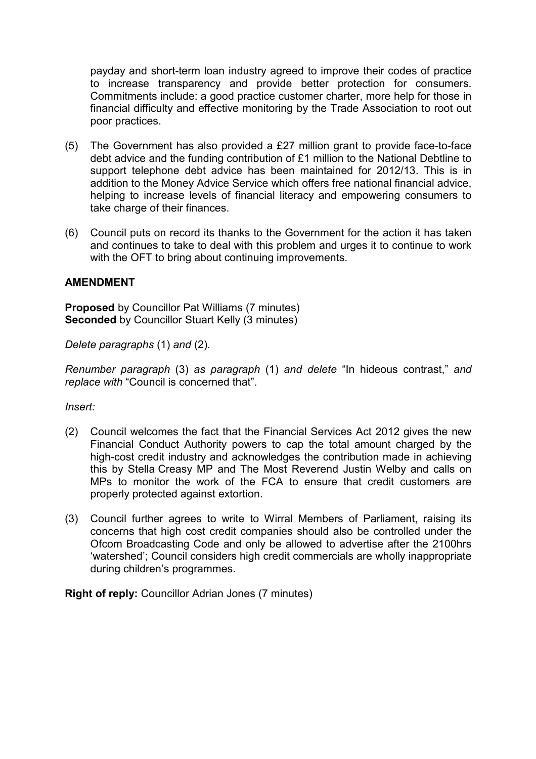payday and short-term loan industry agreed to improve their codes of practice to increase transparency and provide better protection for consumers. Commitments include: a good practice customer charter, more help for those in financial difficulty and effective monitoring by the Trade Association to root out poor practices.

- (5) The Government has also provided a £27 million grant to provide face-to-face debt advice and the funding contribution of £1 million to the National Debtline to support telephone debt advice has been maintained for 2012/13. This is in addition to the Money Advice Service which offers free national financial advice, helping to increase levels of financial literacy and empowering consumers to take charge of their finances.
- (6) Council puts on record its thanks to the Government for the action it has taken and continues to take to deal with this problem and urges it to continue to work with the OFT to bring about continuing improvements.

## **AMENDMENT**

**Proposed** by Councillor Pat Williams (7 minutes) **Seconded** by Councillor Stuart Kelly (3 minutes)

*Delete paragraphs* (1) *and* (2).

*Renumber paragraph* (3) *as paragraph* (1) *and delete* "In hideous contrast," *and replace with* "Council is concerned that".

*Insert:* 

- (2) Council welcomes the fact that the Financial Services Act 2012 gives the new Financial Conduct Authority powers to cap the total amount charged by the high-cost credit industry and acknowledges the contribution made in achieving this by Stella Creasy MP and The Most Reverend Justin Welby and calls on MPs to monitor the work of the FCA to ensure that credit customers are properly protected against extortion.
- (3) Council further agrees to write to Wirral Members of Parliament, raising its concerns that high cost credit companies should also be controlled under the Ofcom Broadcasting Code and only be allowed to advertise after the 2100hrs 'watershed'; Council considers high credit commercials are wholly inappropriate during children's programmes.

**Right of reply:** Councillor Adrian Jones (7 minutes)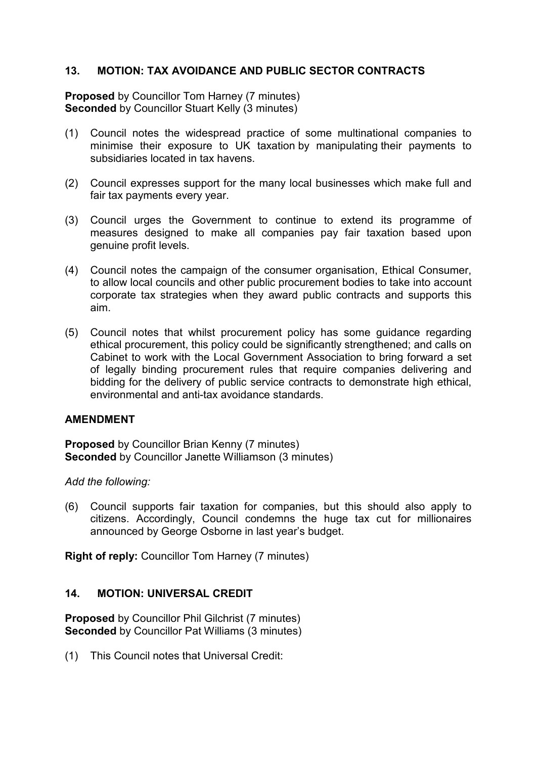## **13. MOTION: TAX AVOIDANCE AND PUBLIC SECTOR CONTRACTS**

**Proposed** by Councillor Tom Harney (7 minutes) **Seconded** by Councillor Stuart Kelly (3 minutes)

- (1) Council notes the widespread practice of some multinational companies to minimise their exposure to UK taxation by manipulating their payments to subsidiaries located in tax havens.
- (2) Council expresses support for the many local businesses which make full and fair tax payments every year.
- (3) Council urges the Government to continue to extend its programme of measures designed to make all companies pay fair taxation based upon genuine profit levels.
- (4) Council notes the campaign of the consumer organisation, Ethical Consumer, to allow local councils and other public procurement bodies to take into account corporate tax strategies when they award public contracts and supports this aim.
- (5) Council notes that whilst procurement policy has some guidance regarding ethical procurement, this policy could be significantly strengthened; and calls on Cabinet to work with the Local Government Association to bring forward a set of legally binding procurement rules that require companies delivering and bidding for the delivery of public service contracts to demonstrate high ethical, environmental and anti-tax avoidance standards.

## **AMENDMENT**

**Proposed** by Councillor Brian Kenny (7 minutes) **Seconded** by Councillor Janette Williamson (3 minutes)

*Add the following:* 

(6) Council supports fair taxation for companies, but this should also apply to citizens. Accordingly, Council condemns the huge tax cut for millionaires announced by George Osborne in last year's budget.

**Right of reply:** Councillor Tom Harney (7 minutes)

## **14. MOTION: UNIVERSAL CREDIT**

**Proposed** by Councillor Phil Gilchrist (7 minutes) **Seconded** by Councillor Pat Williams (3 minutes)

(1) This Council notes that Universal Credit: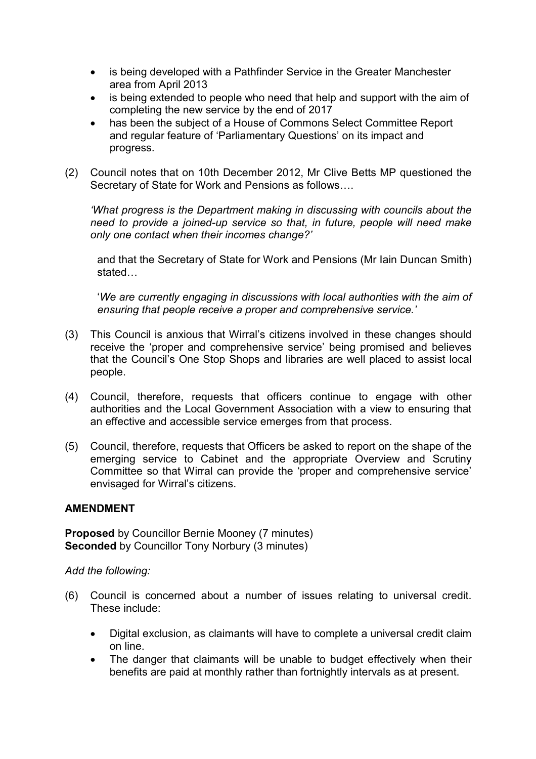- is being developed with a Pathfinder Service in the Greater Manchester area from April 2013
- is being extended to people who need that help and support with the aim of completing the new service by the end of 2017
- has been the subject of a House of Commons Select Committee Report and regular feature of 'Parliamentary Questions' on its impact and progress.
- (2) Council notes that on 10th December 2012, Mr Clive Betts MP questioned the Secretary of State for Work and Pensions as follows….

*'What progress is the Department making in discussing with councils about the need to provide a joined-up service so that, in future, people will need make only one contact when their incomes change?'* 

and that the Secretary of State for Work and Pensions (Mr Iain Duncan Smith) stated…

'*We are currently engaging in discussions with local authorities with the aim of ensuring that people receive a proper and comprehensive service.'*

- (3) This Council is anxious that Wirral's citizens involved in these changes should receive the 'proper and comprehensive service' being promised and believes that the Council's One Stop Shops and libraries are well placed to assist local people.
- (4) Council, therefore, requests that officers continue to engage with other authorities and the Local Government Association with a view to ensuring that an effective and accessible service emerges from that process.
- (5) Council, therefore, requests that Officers be asked to report on the shape of the emerging service to Cabinet and the appropriate Overview and Scrutiny Committee so that Wirral can provide the 'proper and comprehensive service' envisaged for Wirral's citizens.

## **AMENDMENT**

**Proposed** by Councillor Bernie Mooney (7 minutes) **Seconded** by Councillor Tony Norbury (3 minutes)

#### *Add the following:*

- (6) Council is concerned about a number of issues relating to universal credit. These include:
	- Digital exclusion, as claimants will have to complete a universal credit claim on line.
	- The danger that claimants will be unable to budget effectively when their benefits are paid at monthly rather than fortnightly intervals as at present.